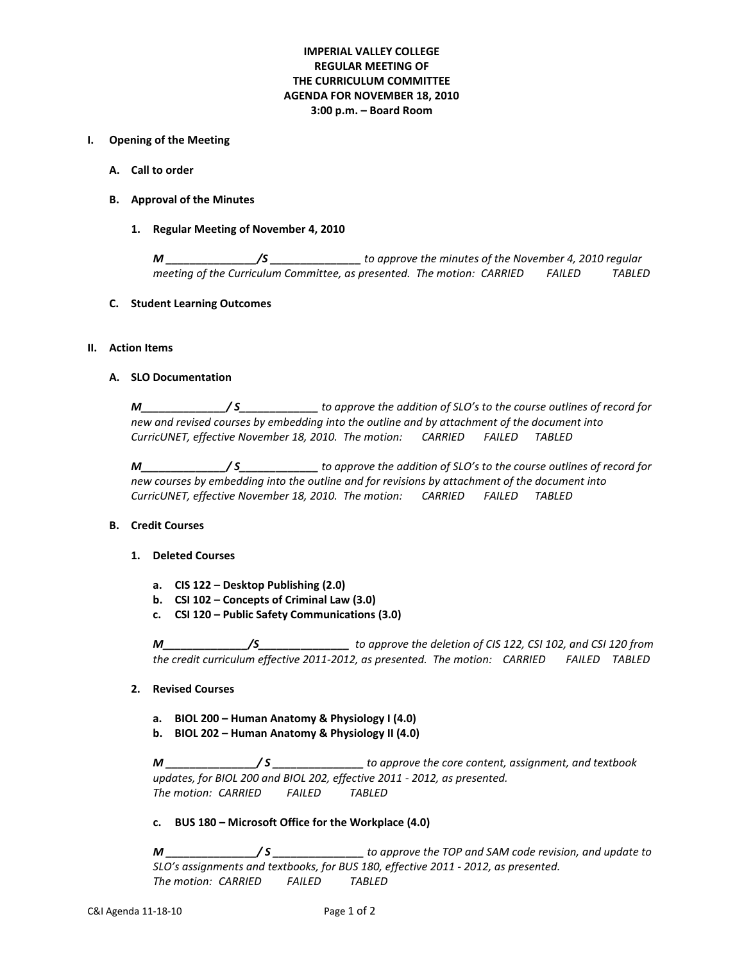# **IMPERIAL VALLEY COLLEGE REGULAR MEETING OF THE CURRICULUM COMMITTEE AGENDA FOR NOVEMBER 18, 2010 3:00 p.m. – Board Room**

### **I. Opening of the Meeting**

- **A. Call to order**
- **B. Approval of the Minutes**
	- **1. Regular Meeting of November 4, 2010**

*M \_\_\_\_\_\_\_\_\_\_\_\_\_\_\_/S \_\_\_\_\_\_\_\_\_\_\_\_\_\_\_ to approve the minutes of the November 4, 2010 regular meeting of the Curriculum Committee, as presented. The motion: CARRIED FAILED TABLED*

## **C. Student Learning Outcomes**

## **II. Action Items**

#### **A. SLO Documentation**

*M\_\_\_\_\_\_\_\_\_\_\_\_\_\_/ S\_\_\_\_\_\_\_\_\_\_\_\_\_ to approve the addition of SLO's to the course outlines of record for new and revised courses by embedding into the outline and by attachment of the document into CurricUNET, effective November 18, 2010. The motion: CARRIED FAILED TABLED*

*M\_\_\_\_\_\_\_\_\_\_\_\_\_\_/ S\_\_\_\_\_\_\_\_\_\_\_\_\_ to approve the addition of SLO's to the course outlines of record for new courses by embedding into the outline and for revisions by attachment of the document into CurricUNET, effective November 18, 2010. The motion: CARRIED FAILED TABLED*

#### **B. Credit Courses**

- **1. Deleted Courses**
	- **a. CIS 122 – Desktop Publishing (2.0)**
	- **b. CSI 102 – Concepts of Criminal Law (3.0)**
	- **c. CSI 120 – Public Safety Communications (3.0)**

*M\_\_\_\_\_\_\_\_\_\_\_\_\_\_/S\_\_\_\_\_\_\_\_\_\_\_\_\_\_\_ to approve the deletion of CIS 122, CSI 102, and CSI 120 from the credit curriculum effective 2011-2012, as presented. The motion: CARRIED FAILED TABLED*

## **2. Revised Courses**

- **a. BIOL 200 – Human Anatomy & Physiology I (4.0)**
- **b. BIOL 202 – Human Anatomy & Physiology II (4.0)**

*M \_\_\_\_\_\_\_\_\_\_\_\_\_\_\_/ S \_\_\_\_\_\_\_\_\_\_\_\_\_\_\_ to approve the core content, assignment, and textbook updates, for BIOL 200 and BIOL 202, effective 2011 - 2012, as presented. The motion: CARRIED FAILED TABLED*

**c. BUS 180 – Microsoft Office for the Workplace (4.0)**

*M \_\_\_\_\_\_\_\_\_\_\_\_\_\_\_/ S \_\_\_\_\_\_\_\_\_\_\_\_\_\_\_ to approve the TOP and SAM code revision, and update to SLO's assignments and textbooks, for BUS 180, effective 2011 - 2012, as presented. The motion: CARRIED FAILED TABLED*